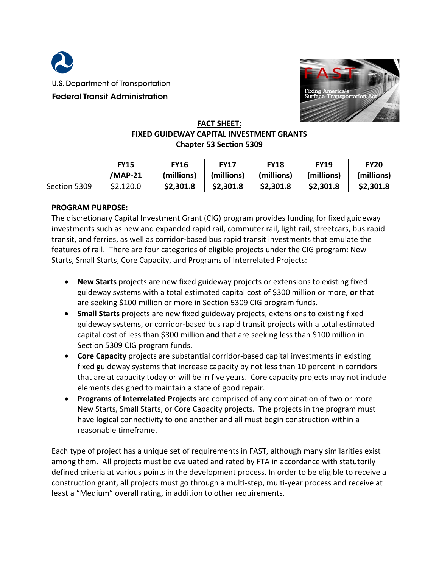



#### **FACT SHEET: FIXED GUIDEWAY CAPITAL INVESTMENT GRANTS Chapter 53 Section 5309**

|              | <b>FY15</b> | <b>FY16</b> | <b>FY17</b> | <b>FY18</b> | <b>FY19</b> | <b>FY20</b> |
|--------------|-------------|-------------|-------------|-------------|-------------|-------------|
|              | /MAP-21     | (millions)  | (millions)  | (millions)  | (millions)  | (millions)  |
| Section 5309 | \$2,120.0   | \$2,301.8   | \$2,301.8   | \$2,301.8   | \$2,301.8   | \$2,301.8   |

#### **PROGRAM PURPOSE:**

The discretionary Capital Investment Grant (CIG) program provides funding for fixed guideway investments such as new and expanded rapid rail, commuter rail, light rail, streetcars, bus rapid transit, and ferries, as well as corridor-based bus rapid transit investments that emulate the features of rail. There are four categories of eligible projects under the CIG program: New Starts, Small Starts, Core Capacity, and Programs of Interrelated Projects:

- **New Starts** projects are new fixed guideway projects or extensions to existing fixed guideway systems with a total estimated capital cost of \$300 million or more, **or** that are seeking \$100 million or more in Section 5309 CIG program funds.
- **Small Starts** projects are new fixed guideway projects, extensions to existing fixed guideway systems, or corridor-based bus rapid transit projects with a total estimated capital cost of less than \$300 million **and** that are seeking less than \$100 million in Section 5309 CIG program funds.
- **Core Capacity** projects are substantial corridor-based capital investments in existing fixed guideway systems that increase capacity by not less than 10 percent in corridors that are at capacity today or will be in five years. Core capacity projects may not include elements designed to maintain a state of good repair.
- **Programs of Interrelated Projects** are comprised of any combination of two or more New Starts, Small Starts, or Core Capacity projects. The projects in the program must have logical connectivity to one another and all must begin construction within a reasonable timeframe.

Each type of project has a unique set of requirements in FAST, although many similarities exist among them. All projects must be evaluated and rated by FTA in accordance with statutorily defined criteria at various points in the development process. In order to be eligible to receive a construction grant, all projects must go through a multi-step, multi-year process and receive at least a "Medium" overall rating, in addition to other requirements.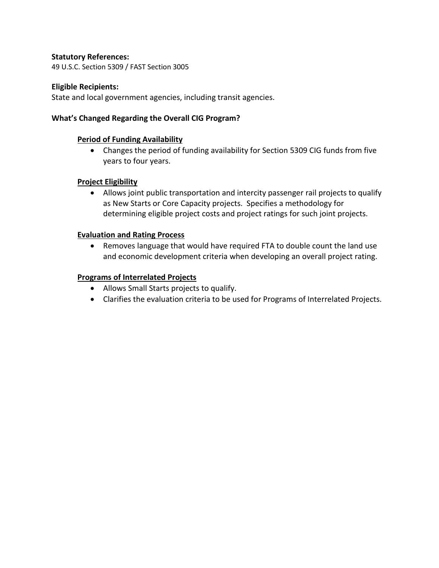#### **Statutory References:**

49 U.S.C. Section 5309 / FAST Section 3005

#### **Eligible Recipients:**

State and local government agencies, including transit agencies.

#### **What's Changed Regarding the Overall CIG Program?**

#### **Period of Funding Availability**

• Changes the period of funding availability for Section 5309 CIG funds from five years to four years.

#### **Project Eligibility**

• Allows joint public transportation and intercity passenger rail projects to qualify as New Starts or Core Capacity projects. Specifies a methodology for determining eligible project costs and project ratings for such joint projects.

#### **Evaluation and Rating Process**

• Removes language that would have required FTA to double count the land use and economic development criteria when developing an overall project rating.

#### **Programs of Interrelated Projects**

- Allows Small Starts projects to qualify.
- Clarifies the evaluation criteria to be used for Programs of Interrelated Projects.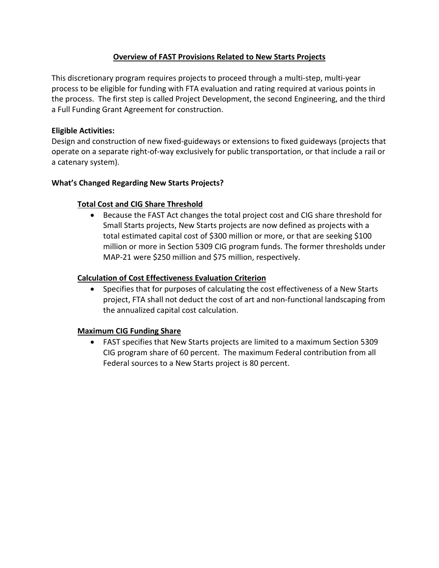# **Overview of FAST Provisions Related to New Starts Projects**

This discretionary program requires projects to proceed through a multi-step, multi-year process to be eligible for funding with FTA evaluation and rating required at various points in the process. The first step is called Project Development, the second Engineering, and the third a Full Funding Grant Agreement for construction.

## **Eligible Activities:**

Design and construction of new fixed-guideways or extensions to fixed guideways (projects that operate on a separate right-of-way exclusively for public transportation, or that include a rail or a catenary system).

# **What's Changed Regarding New Starts Projects?**

# **Total Cost and CIG Share Threshold**

• Because the FAST Act changes the total project cost and CIG share threshold for Small Starts projects, New Starts projects are now defined as projects with a total estimated capital cost of \$300 million or more, or that are seeking \$100 million or more in Section 5309 CIG program funds. The former thresholds under MAP-21 were \$250 million and \$75 million, respectively.

### **Calculation of Cost Effectiveness Evaluation Criterion**

• Specifies that for purposes of calculating the cost effectiveness of a New Starts project, FTA shall not deduct the cost of art and non-functional landscaping from the annualized capital cost calculation.

### **Maximum CIG Funding Share**

• FAST specifies that New Starts projects are limited to a maximum Section 5309 CIG program share of 60 percent. The maximum Federal contribution from all Federal sources to a New Starts project is 80 percent.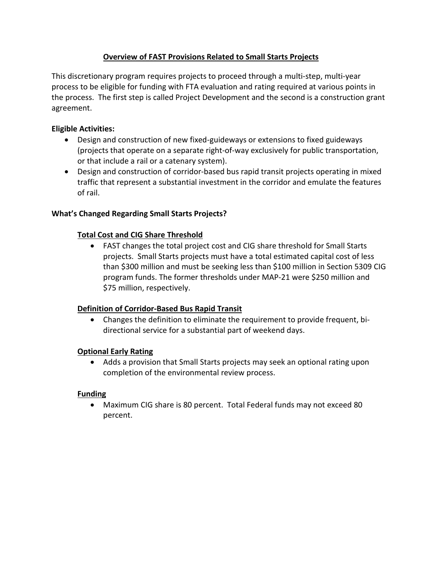# **Overview of FAST Provisions Related to Small Starts Projects**

This discretionary program requires projects to proceed through a multi-step, multi-year process to be eligible for funding with FTA evaluation and rating required at various points in the process. The first step is called Project Development and the second is a construction grant agreement.

## **Eligible Activities:**

- Design and construction of new fixed-guideways or extensions to fixed guideways (projects that operate on a separate right-of-way exclusively for public transportation, or that include a rail or a catenary system).
- Design and construction of corridor-based bus rapid transit projects operating in mixed traffic that represent a substantial investment in the corridor and emulate the features of rail.

### **What's Changed Regarding Small Starts Projects?**

### **Total Cost and CIG Share Threshold**

• FAST changes the total project cost and CIG share threshold for Small Starts projects. Small Starts projects must have a total estimated capital cost of less than \$300 million and must be seeking less than \$100 million in Section 5309 CIG program funds. The former thresholds under MAP-21 were \$250 million and \$75 million, respectively.

### **Definition of Corridor-Based Bus Rapid Transit**

• Changes the definition to eliminate the requirement to provide frequent, bidirectional service for a substantial part of weekend days.

### **Optional Early Rating**

• Adds a provision that Small Starts projects may seek an optional rating upon completion of the environmental review process.

### **Funding**

• Maximum CIG share is 80 percent. Total Federal funds may not exceed 80 percent.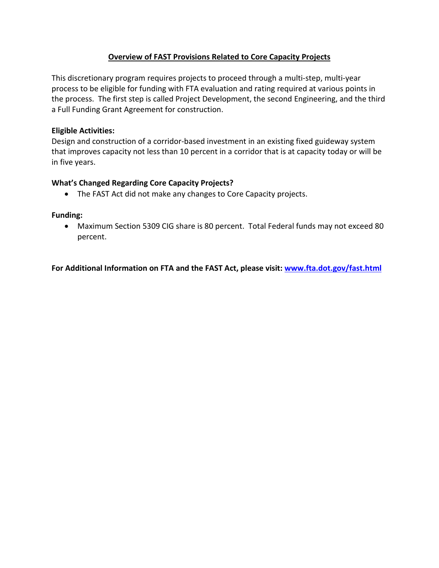## **Overview of FAST Provisions Related to Core Capacity Projects**

This discretionary program requires projects to proceed through a multi-step, multi-year process to be eligible for funding with FTA evaluation and rating required at various points in the process. The first step is called Project Development, the second Engineering, and the third a Full Funding Grant Agreement for construction.

#### **Eligible Activities:**

Design and construction of a corridor-based investment in an existing fixed guideway system that improves capacity not less than 10 percent in a corridor that is at capacity today or will be in five years.

#### **What's Changed Regarding Core Capacity Projects?**

• The FAST Act did not make any changes to Core Capacity projects.

#### **Funding:**

• Maximum Section 5309 CIG share is 80 percent. Total Federal funds may not exceed 80 percent.

**For Additional Information on FTA and the FAST Act, please visit: [www.fta.dot.gov/fast.html](http://www.fta.dot.gov/fast.html)**